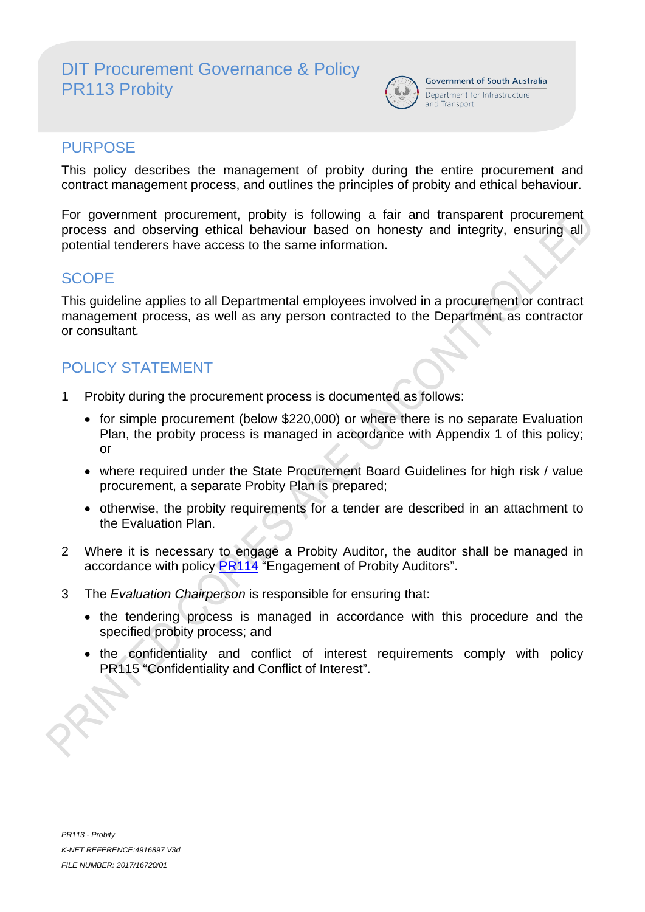# DIT Procurement Governance & Policy PR113 Probity



**Government of South Australia** Department for Infrastructure and Transport

## PURPOSE

This policy describes the management of probity during the entire procurement and contract management process, and outlines the principles of probity and ethical behaviour.

For government procurement, probity is following a fair and transparent procurement process and observing ethical behaviour based on honesty and integrity, ensuring all potential tenderers have access to the same information.

# **SCOPE**

This guideline applies to all Departmental employees involved in a procurement or contract management process, as well as any person contracted to the Department as contractor or consultant*.*

# POLICY STATEMENT

- 1 Probity during the procurement process is documented as follows:
	- for simple procurement (below \$220,000) or where there is no separate Evaluation Plan, the probity process is managed in accordance with Appendix 1 of this policy; or
	- where required under the State Procurement Board Guidelines for high risk / value procurement, a separate Probity Plan is prepared;
	- otherwise, the probity requirements for a tender are described in an attachment to the Evaluation Plan.
- 2 Where it is necessary to engage a Probity Auditor, the auditor shall be managed in accordance with policy PR114 "Engagement of Probity Auditors".
- 3 The *Evaluation Chairperson* is responsible for ensuring that:
	- the tendering process is managed in accordance with this procedure and the specified probity process; and
	- the confidentiality and conflict of interest requirements comply with policy PR115 "Confidentiality and Conflict of Interest".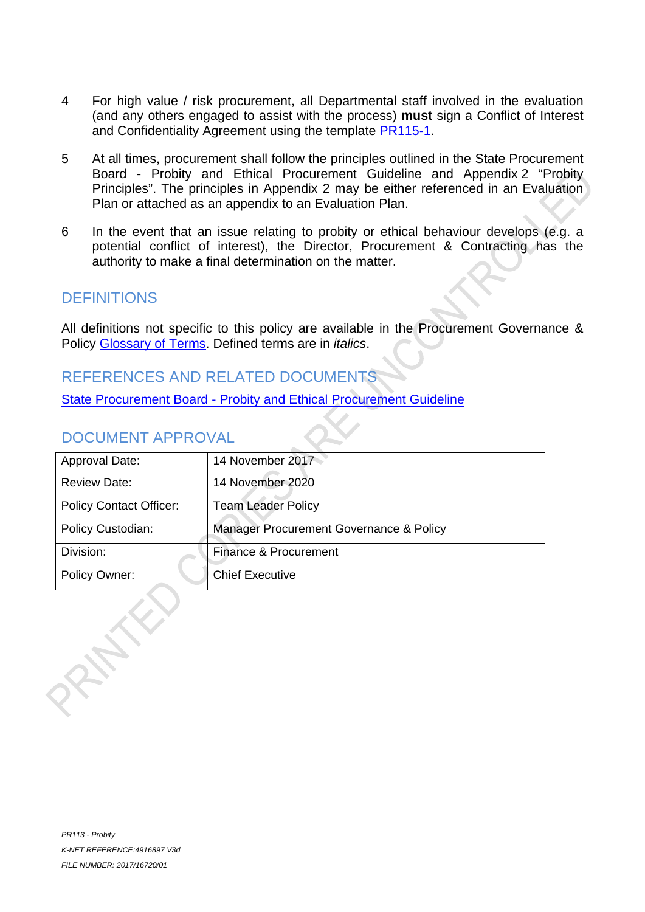- 4 For high value / risk procurement, all Departmental staff involved in the evaluation (and any others engaged to assist with the process) **must** sign a Conflict of Interest and Confidentiality Agreement using the template PR115-1.
- 5 At all times, procurement shall follow the principles outlined in the State Procurement Board - Probity and Ethical Procurement Guideline and Appendix 2 "Probity Principles". The principles in Appendix 2 may be either referenced in an Evaluation Plan or attached as an appendix to an Evaluation Plan.
- 6 In the event that an issue relating to probity or ethical behaviour develops (e.g. a potential conflict of interest), the Director, Procurement & Contracting has the authority to make a final determination on the matter.

## **DEFINITIONS**

All definitions not specific to this policy are available in the Procurement Governance & Policy Glossary of Terms. Defined terms are in *italics*.

# REFERENCES AND RELATED DOCUMENTS

State Procurement Board - Probity and Ethical Procurement Guideline

## DOCUMENT APPROVAL

| Approval Date:                 | 14 November 2017                        |
|--------------------------------|-----------------------------------------|
| <b>Review Date:</b>            | 14 November 2020                        |
| <b>Policy Contact Officer:</b> | <b>Team Leader Policy</b>               |
| Policy Custodian:              | Manager Procurement Governance & Policy |
| Division:                      | Finance & Procurement                   |
| <b>Policy Owner:</b>           | <b>Chief Executive</b>                  |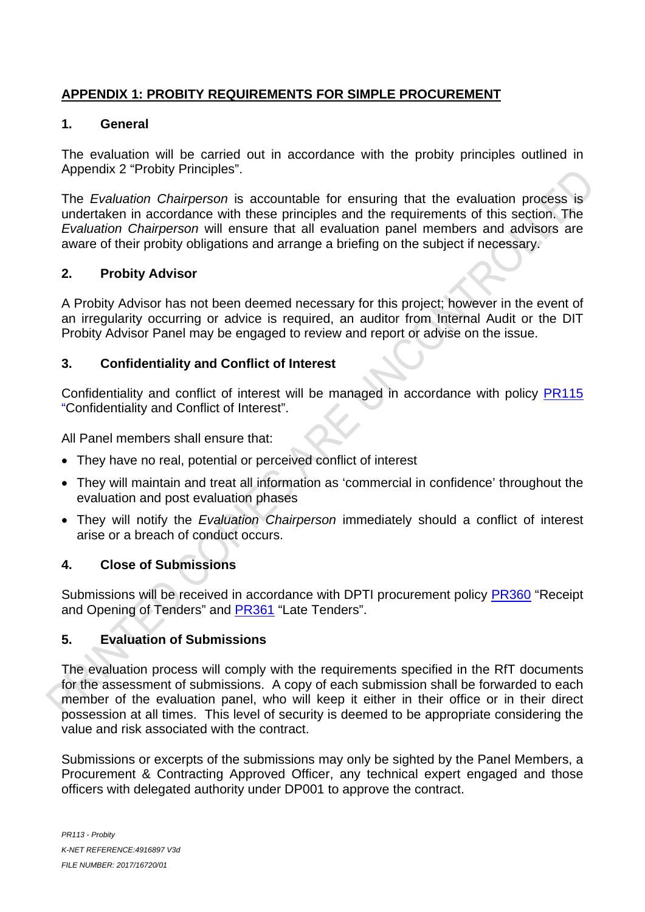## **APPENDIX 1: PROBITY REQUIREMENTS FOR SIMPLE PROCUREMENT**

#### **1. General**

The evaluation will be carried out in accordance with the probity principles outlined in Appendix 2 "Probity Principles".

The *Evaluation Chairperson* is accountable for ensuring that the evaluation process is undertaken in accordance with these principles and the requirements of this section. The *Evaluation Chairperson* will ensure that all evaluation panel members and advisors are aware of their probity obligations and arrange a briefing on the subject if necessary.

#### **2. Probity Advisor**

A Probity Advisor has not been deemed necessary for this project; however in the event of an irregularity occurring or advice is required, an auditor from Internal Audit or the DIT Probity Advisor Panel may be engaged to review and report or advise on the issue.

#### **3. Confidentiality and Conflict of Interest**

Confidentiality and conflict of interest will be managed in accordance with policy PR115 "Confidentiality and Conflict of Interest".

All Panel members shall ensure that:

- They have no real, potential or perceived conflict of interest
- They will maintain and treat all information as 'commercial in confidence' throughout the evaluation and post evaluation phases
- They will notify the *Evaluation Chairperson* immediately should a conflict of interest arise or a breach of conduct occurs.

## **4. Close of Submissions**

Submissions will be received in accordance with DPTI procurement policy PR360 "Receipt and Opening of Tenders" and PR361 "Late Tenders".

## **5. Evaluation of Submissions**

The evaluation process will comply with the requirements specified in the RfT documents for the assessment of submissions. A copy of each submission shall be forwarded to each member of the evaluation panel, who will keep it either in their office or in their direct possession at all times. This level of security is deemed to be appropriate considering the value and risk associated with the contract.

Submissions or excerpts of the submissions may only be sighted by the Panel Members, a Procurement & Contracting Approved Officer, any technical expert engaged and those officers with delegated authority under DP001 to approve the contract.